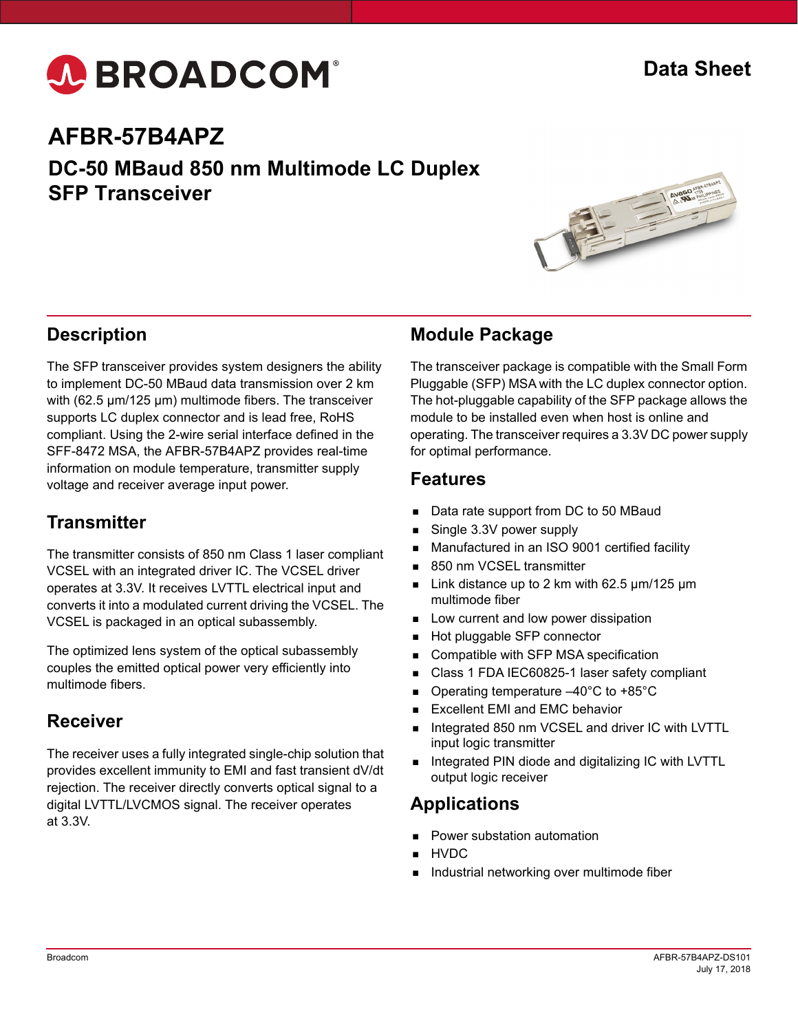

## **AFBR-57B4APZ**

**DC-50 MBaud 850 nm Multimode LC Duplex SFP Transceiver**



#### **Description**

The SFP transceiver provides system designers the ability to implement DC-50 MBaud data transmission over 2 km with (62.5  $\mu$ m/125  $\mu$ m) multimode fibers. The transceiver supports LC duplex connector and is lead free, RoHS compliant. Using the 2-wire serial interface defined in the SFF-8472 MSA, the AFBR-57B4APZ provides real-time information on module temperature, transmitter supply voltage and receiver average input power.

#### **Transmitter**

The transmitter consists of 850 nm Class 1 laser compliant VCSEL with an integrated driver IC. The VCSEL driver operates at 3.3V. It receives LVTTL electrical input and converts it into a modulated current driving the VCSEL. The VCSEL is packaged in an optical subassembly.

The optimized lens system of the optical subassembly couples the emitted optical power very efficiently into multimode fibers.

#### **Receiver**

The receiver uses a fully integrated single-chip solution that provides excellent immunity to EMI and fast transient dV/dt rejection. The receiver directly converts optical signal to a digital LVTTL/LVCMOS signal. The receiver operates at 3.3V.

#### **Module Package**

The transceiver package is compatible with the Small Form Pluggable (SFP) MSA with the LC duplex connector option. The hot-pluggable capability of the SFP package allows the module to be installed even when host is online and operating. The transceiver requires a 3.3V DC power supply for optimal performance.

#### **Features**

- Data rate support from DC to 50 MBaud
- Single 3.3V power supply
- Manufactured in an ISO 9001 certified facility
- 850 nm VCSEL transmitter
- Link distance up to 2 km with 62.5 µm/125 µm multimode fiber
- Low current and low power dissipation
- Hot pluggable SFP connector
- Compatible with SFP MSA specification
- Class 1 FDA IEC60825-1 laser safety compliant
- Operating temperature –40°C to +85°C
- Excellent EMI and EMC behavior
- Integrated 850 nm VCSEL and driver IC with LVTTL input logic transmitter
- Integrated PIN diode and digitalizing IC with LVTTL output logic receiver

#### **Applications**

- Power substation automation
- HVDC
- Industrial networking over multimode fiber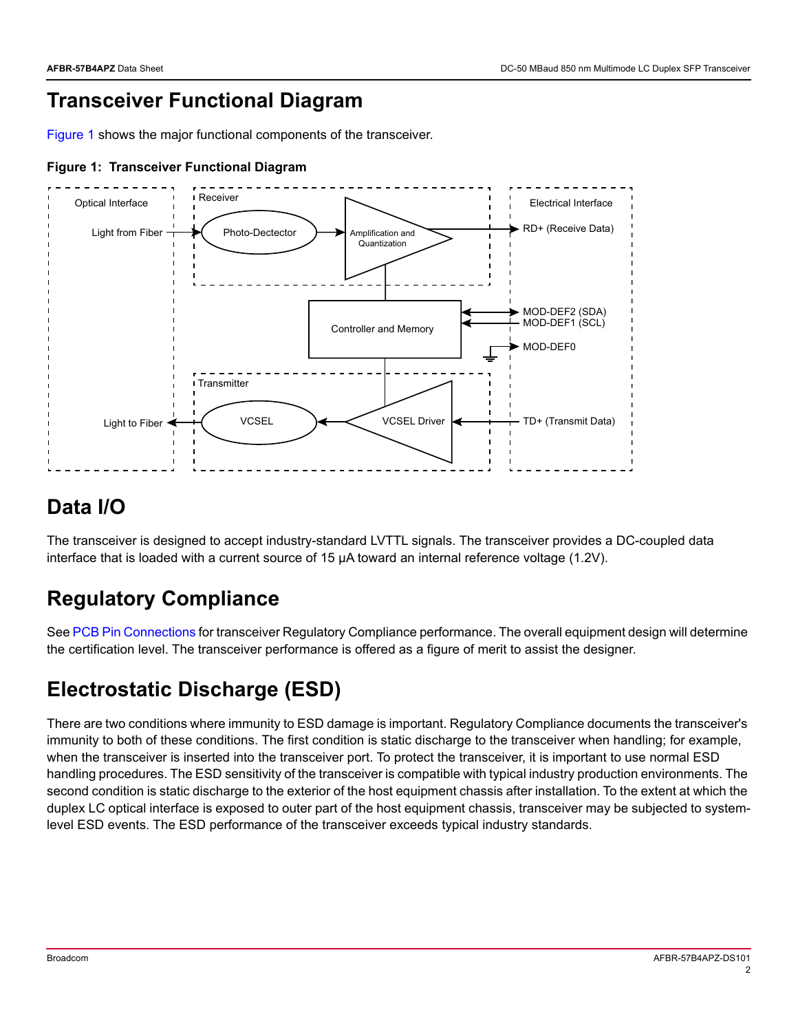# **Transceiver Functional Diagram**

[Figure 1](#page-1-0) shows the major functional components of the transceiver.



#### <span id="page-1-0"></span>**Figure 1: Transceiver Functional Diagram**

#### **Data I/O**

The transceiver is designed to accept industry-standard LVTTL signals. The transceiver provides a DC-coupled data interface that is loaded with a current source of 15 μA toward an internal reference voltage (1.2V).

# **Regulatory Compliance**

See [PCB Pin Connections](#page-3-0) for transceiver Regulatory Compliance performance. The overall equipment design will determine the certification level. The transceiver performance is offered as a figure of merit to assist the designer.

# **Electrostatic Discharge (ESD)**

There are two conditions where immunity to ESD damage is important. Regulatory Compliance documents the transceiver's immunity to both of these conditions. The first condition is static discharge to the transceiver when handling; for example, when the transceiver is inserted into the transceiver port. To protect the transceiver, it is important to use normal ESD handling procedures. The ESD sensitivity of the transceiver is compatible with typical industry production environments. The second condition is static discharge to the exterior of the host equipment chassis after installation. To the extent at which the duplex LC optical interface is exposed to outer part of the host equipment chassis, transceiver may be subjected to systemlevel ESD events. The ESD performance of the transceiver exceeds typical industry standards.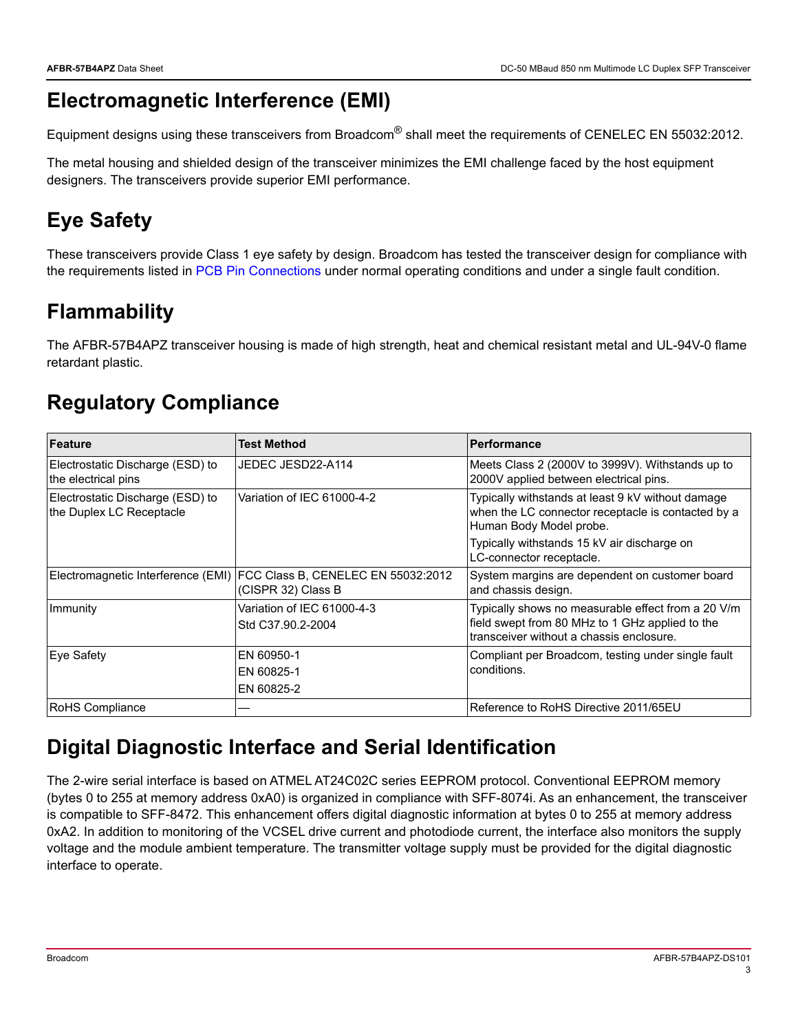### **Electromagnetic Interference (EMI)**

Equipment designs using these transceivers from Broadcom<sup>®</sup> shall meet the requirements of CENELEC EN 55032:2012.

The metal housing and shielded design of the transceiver minimizes the EMI challenge faced by the host equipment designers. The transceivers provide superior EMI performance.

# **Eye Safety**

These transceivers provide Class 1 eye safety by design. Broadcom has tested the transceiver design for compliance with the requirements listed in [PCB Pin Connections](#page-3-0) under normal operating conditions and under a single fault condition.

# **Flammability**

The AFBR-57B4APZ transceiver housing is made of high strength, heat and chemical resistant metal and UL-94V-0 flame retardant plastic.

# **Regulatory Compliance**

| Feature                                                      | <b>Test Method</b>                                                                          | <b>Performance</b>                                                                                                                                |
|--------------------------------------------------------------|---------------------------------------------------------------------------------------------|---------------------------------------------------------------------------------------------------------------------------------------------------|
| Electrostatic Discharge (ESD) to<br>the electrical pins      | JEDEC JESD22-A114                                                                           | Meets Class 2 (2000V to 3999V). Withstands up to<br>2000V applied between electrical pins.                                                        |
| Electrostatic Discharge (ESD) to<br>the Duplex LC Receptacle | Variation of IEC 61000-4-2                                                                  | Typically withstands at least 9 kV without damage<br>when the LC connector receptacle is contacted by a<br>Human Body Model probe.                |
|                                                              |                                                                                             | Typically withstands 15 kV air discharge on<br>LC-connector receptacle.                                                                           |
|                                                              | Electromagnetic Interference (EMI) FCC Class B, CENELEC EN 55032:2012<br>(CISPR 32) Class B | System margins are dependent on customer board<br>and chassis design.                                                                             |
| Immunity                                                     | Variation of IEC 61000-4-3<br>Std C37.90.2-2004                                             | Typically shows no measurable effect from a 20 V/m<br>field swept from 80 MHz to 1 GHz applied to the<br>transceiver without a chassis enclosure. |
| Eve Safety                                                   | EN 60950-1<br>EN 60825-1<br>EN 60825-2                                                      | Compliant per Broadcom, testing under single fault<br>conditions.                                                                                 |
| <b>RoHS Compliance</b>                                       |                                                                                             | Reference to RoHS Directive 2011/65EU                                                                                                             |

# **Digital Diagnostic Interface and Serial Identification**

The 2-wire serial interface is based on ATMEL AT24C02C series EEPROM protocol. Conventional EEPROM memory (bytes 0 to 255 at memory address 0xA0) is organized in compliance with SFF-8074i. As an enhancement, the transceiver is compatible to SFF-8472. This enhancement offers digital diagnostic information at bytes 0 to 255 at memory address 0xA2. In addition to monitoring of the VCSEL drive current and photodiode current, the interface also monitors the supply voltage and the module ambient temperature. The transmitter voltage supply must be provided for the digital diagnostic interface to operate.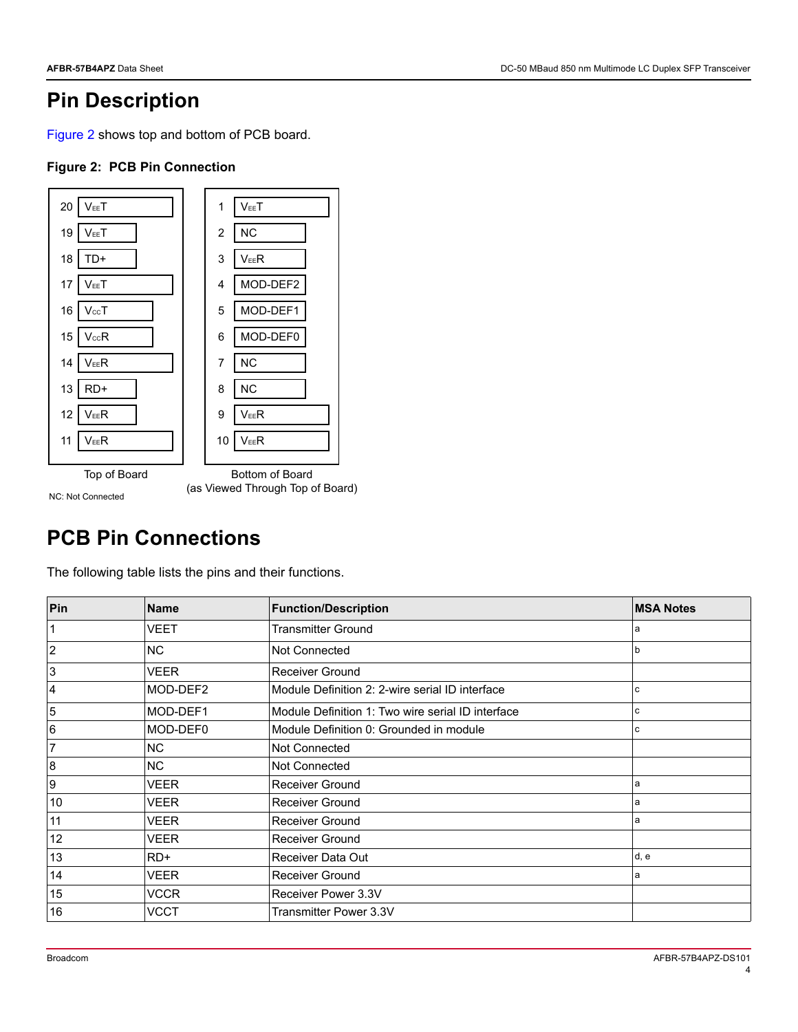#### **Pin Description**

[Figure 2](#page-3-1) shows top and bottom of PCB board.

#### <span id="page-3-1"></span>**Figure 2: PCB Pin Connection**



NC: Not Connected

(as Viewed Through Top of Board)

### <span id="page-3-0"></span>**PCB Pin Connections**

The following table lists the pins and their functions.

| Pin             | <b>Name</b> | <b>Function/Description</b>                       | <b>MSA Notes</b> |
|-----------------|-------------|---------------------------------------------------|------------------|
|                 | VEET        | <b>Transmitter Ground</b>                         | a                |
| $\overline{2}$  | NC          | Not Connected                                     | b                |
| 3               | <b>VEER</b> | Receiver Ground                                   |                  |
| $\overline{4}$  | MOD-DEF2    | Module Definition 2: 2-wire serial ID interface   | C                |
| 5               | MOD-DEF1    | Module Definition 1: Two wire serial ID interface | c                |
| $6\phantom{.}6$ | MOD-DEF0    | Module Definition 0: Grounded in module           | c                |
| 7               | NC.         | Not Connected                                     |                  |
| 8               | <b>NC</b>   | Not Connected                                     |                  |
| 9               | VEER        | <b>Receiver Ground</b>                            | a                |
| 10              | VEER        | Receiver Ground                                   | a                |
| 11              | <b>VEER</b> | Receiver Ground                                   | a                |
| 12              | <b>VEER</b> | <b>Receiver Ground</b>                            |                  |
| 13              | $RD+$       | Receiver Data Out                                 | d, e             |
| 14              | <b>VEER</b> | <b>Receiver Ground</b>                            | a                |
| 15              | VCCR        | Receiver Power 3.3V                               |                  |
| 16              | VCCT        | Transmitter Power 3.3V                            |                  |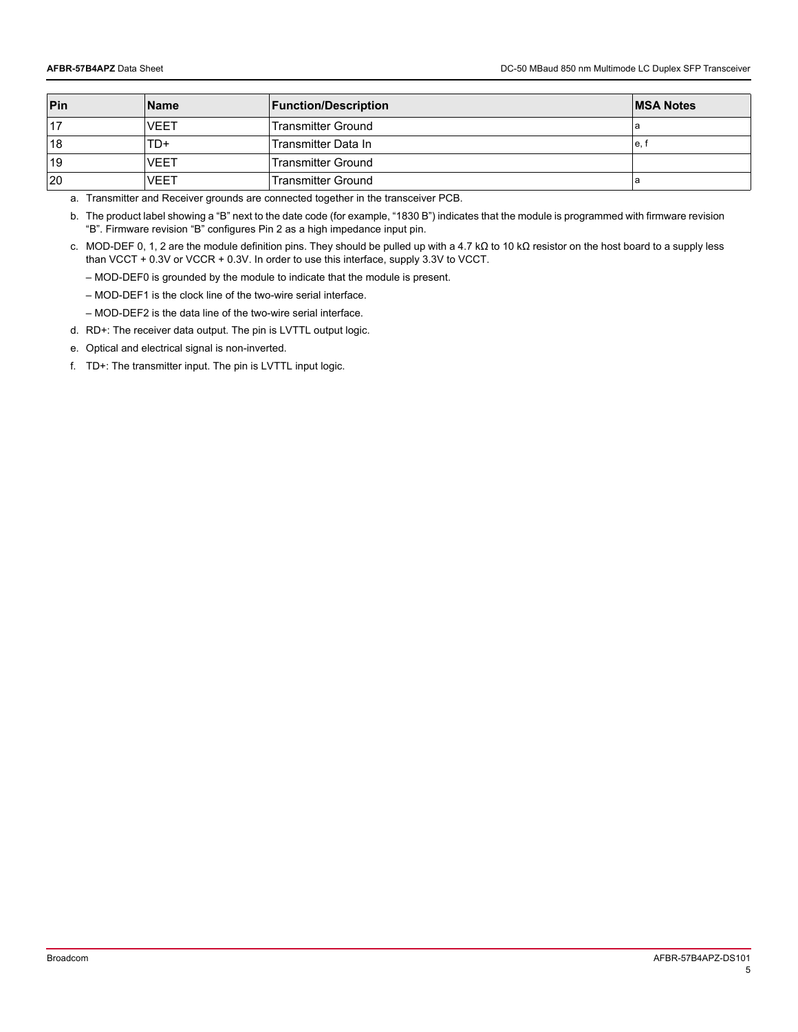| Pin | <b>Name</b> | <b>Function/Description</b> | <b>MSA Notes</b> |
|-----|-------------|-----------------------------|------------------|
|     | <b>VEET</b> | <b>Transmitter Ground</b>   | а                |
| 18  | TD+         | Transmitter Data In         | e. 1             |
| 19  | <b>VEET</b> | <b>Transmitter Ground</b>   |                  |
| 20  | VEET        | <b>Transmitter Ground</b>   | а                |

<span id="page-4-1"></span>a. Transmitter and Receiver grounds are connected together in the transceiver PCB.

b. The product label showing a "B" next to the date code (for example, "1830 B") indicates that the module is programmed with firmware revision "B". Firmware revision "B" configures Pin 2 as a high impedance input pin.

<span id="page-4-0"></span>c. MOD-DEF 0, 1, 2 are the module definition pins. They should be pulled up with a 4.7 kΩ to 10 kΩ resistor on the host board to a supply less than VCCT + 0.3V or VCCR + 0.3V. In order to use this interface, supply 3.3V to VCCT.

– MOD-DEF0 is grounded by the module to indicate that the module is present.

– MOD-DEF1 is the clock line of the two-wire serial interface.

– MOD-DEF2 is the data line of the two-wire serial interface.

d. RD+: The receiver data output. The pin is LVTTL output logic.

<span id="page-4-2"></span>e. Optical and electrical signal is non-inverted.

f. TD+: The transmitter input. The pin is LVTTL input logic.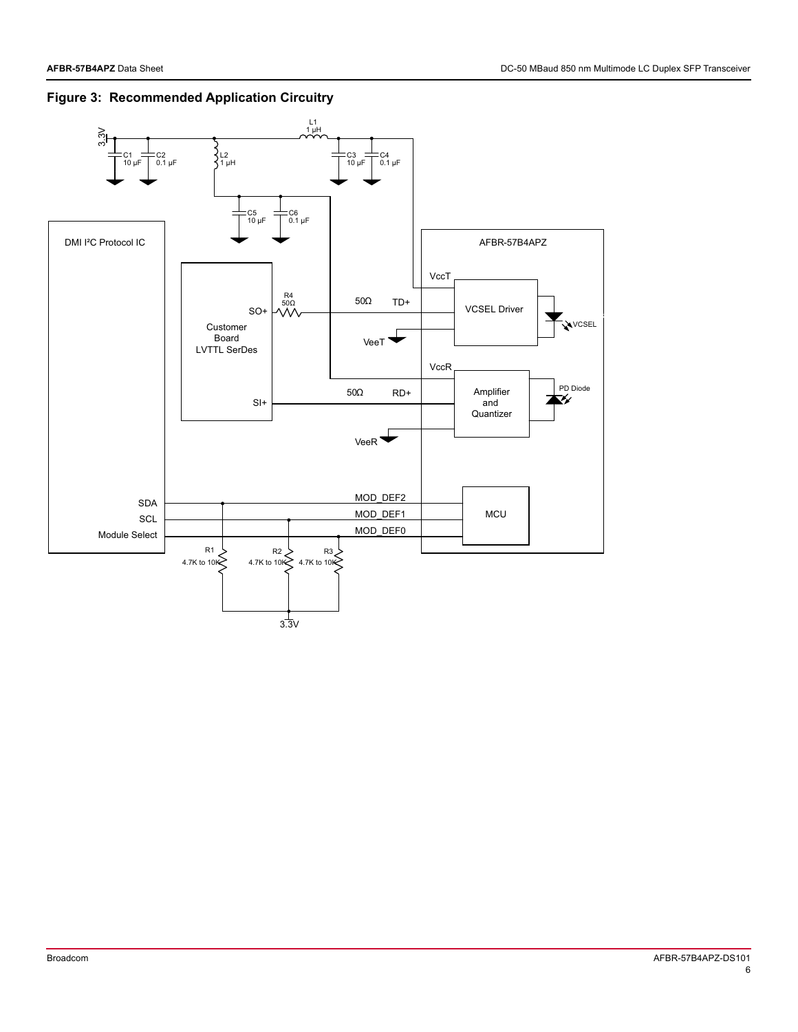

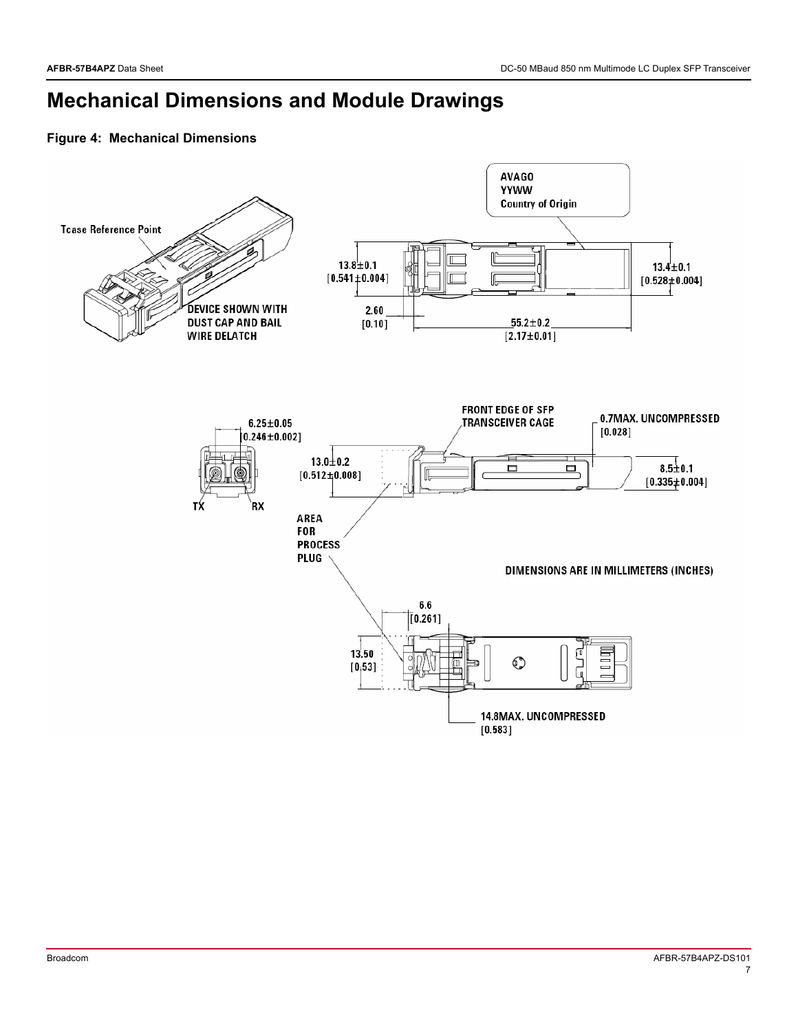# **Mechanical Dimensions and Module Drawings**

#### **Figure 4: Mechanical Dimensions**

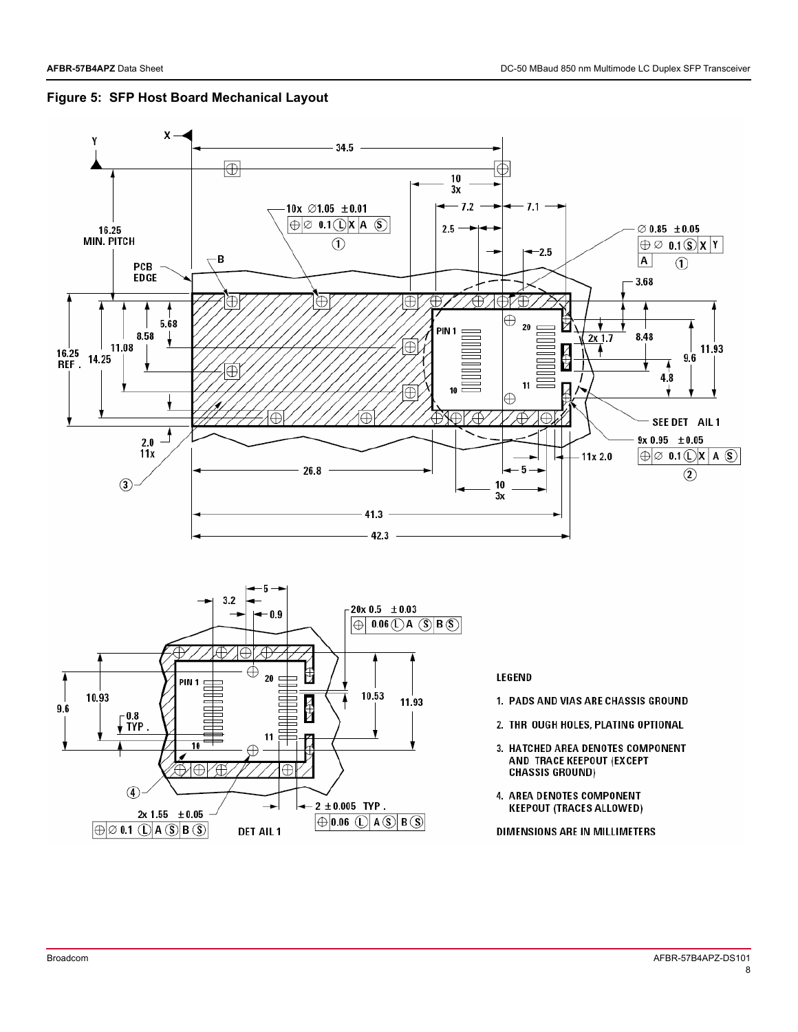



DIMENSIONS ARE IN MILLIMETERS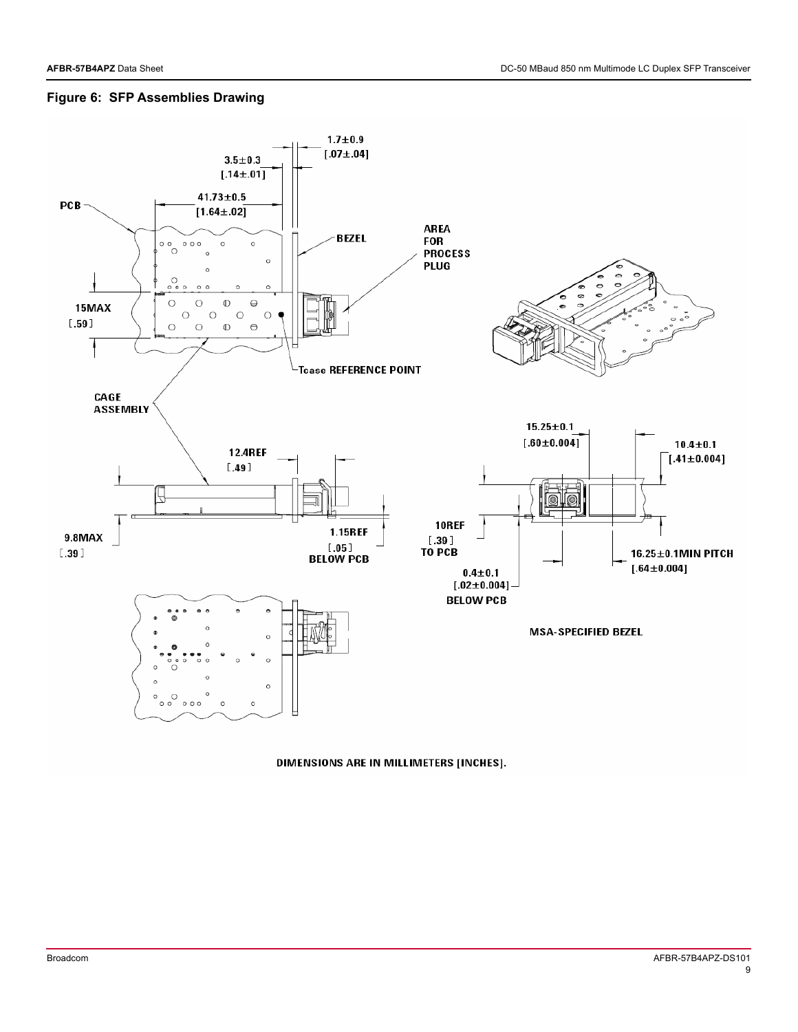#### **Figure 6: SFP Assemblies Drawing**



DIMENSIONS ARE IN MILLIMETERS [INCHES].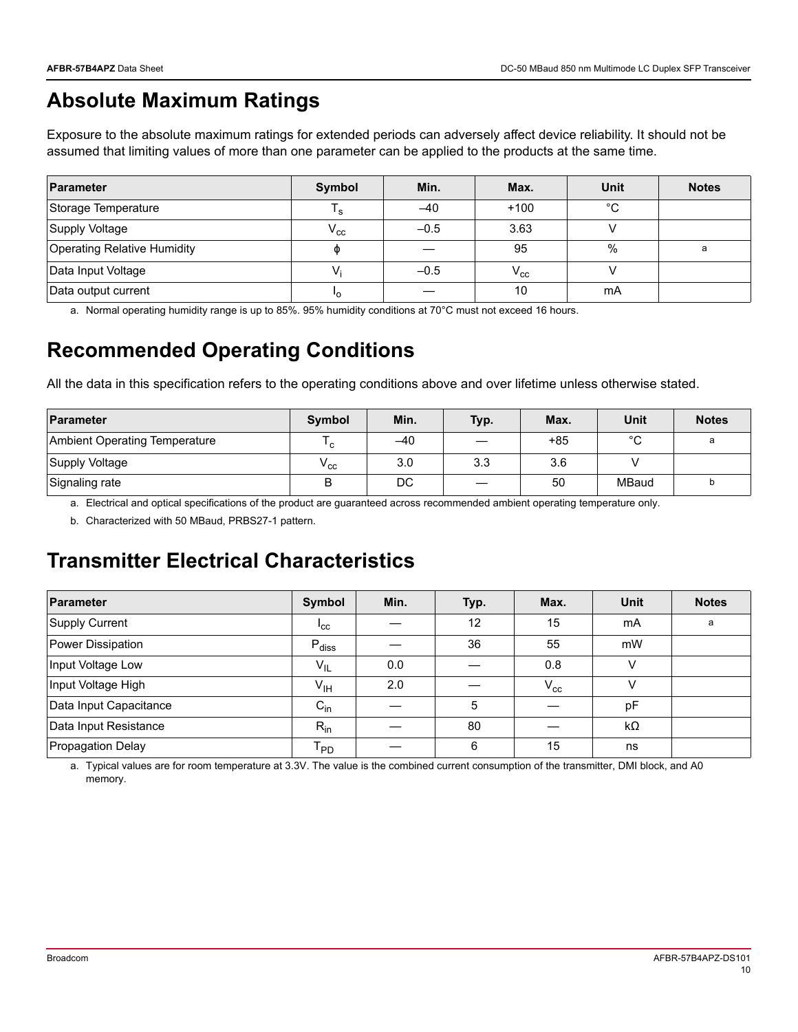## **Absolute Maximum Ratings**

Exposure to the absolute maximum ratings for extended periods can adversely affect device reliability. It should not be assumed that limiting values of more than one parameter can be applied to the products at the same time.

| Parameter                          | <b>Symbol</b> | Min.   | Max.     | Unit        | <b>Notes</b> |
|------------------------------------|---------------|--------|----------|-------------|--------------|
| Storage Temperature                | s '           | $-40$  | $+100$   | $^{\circ}C$ |              |
| Supply Voltage                     | $\rm V_{cc}$  | $-0.5$ | 3.63     |             |              |
| <b>Operating Relative Humidity</b> | Φ             |        | 95       | %           | a            |
| Data Input Voltage                 | V             | $-0.5$ | $V_{cc}$ |             |              |
| Data output current                | ٠o            |        | 10       | mA          |              |

a. Normal operating humidity range is up to 85%. 95% humidity conditions at 70°C must not exceed 16 hours.

## **Recommended Operating Conditions**

All the data in this specification refers to the operating conditions above and over lifetime unless otherwise stated.

| Parameter                            | Symbol           | Min.  | Typ. | Max.  | Unit   | <b>Notes</b> |
|--------------------------------------|------------------|-------|------|-------|--------|--------------|
| <b>Ambient Operating Temperature</b> | C                | $-40$ |      | $+85$ | $\sim$ |              |
| Supply Voltage                       | $\rm v_{\rm cc}$ | 3.0   | 3.3  | 3.6   |        |              |
| Signaling rate                       | B                | DC    |      | 50    | MBaud  |              |

a. Electrical and optical specifications of the product are guaranteed across recommended ambient operating temperature only.

b. Characterized with 50 MBaud, PRBS27-1 pattern.

### **Transmitter Electrical Characteristics**

| Parameter                | Symbol                     | Min. | Typ. | Max.     | <b>Unit</b> | <b>Notes</b> |
|--------------------------|----------------------------|------|------|----------|-------------|--------------|
| Supply Current           | $I_{\rm CC}$               |      | 12   | 15       | mA          | a            |
| Power Dissipation        | $P_{\text{diss}}$          |      | 36   | 55       | mW          |              |
| Input Voltage Low        | $V_{IL}$                   | 0.0  |      | 0.8      | v           |              |
| Input Voltage High       | V <sub>IH</sub>            | 2.0  |      | $V_{cc}$ | V           |              |
| Data Input Capacitance   | $C_{\text{in}}$            |      | 5    |          | pF          |              |
| Data Input Resistance    | $R_{in}$                   |      | 80   |          | $k\Omega$   |              |
| <b>Propagation Delay</b> | $\mathsf{T}_{\mathsf{PD}}$ |      | 6    | 15       | ns          |              |

a. Typical values are for room temperature at 3.3V. The value is the combined current consumption of the transmitter, DMI block, and A0 memory.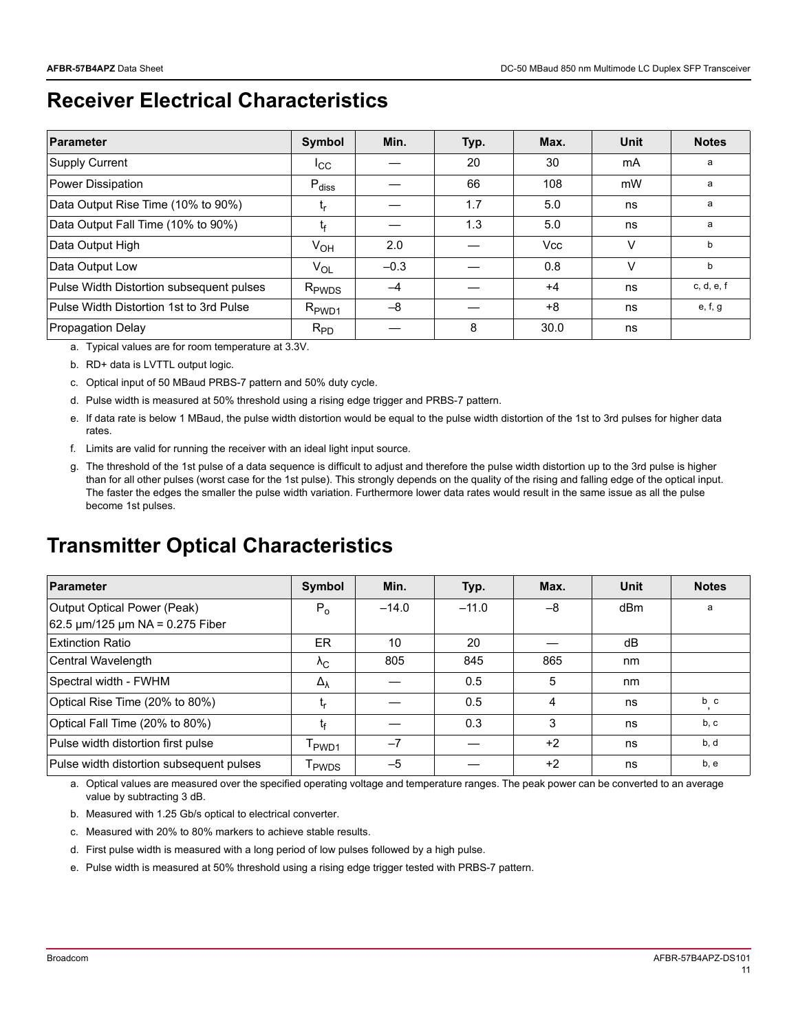### **Receiver Electrical Characteristics**

| <b>Parameter</b>                         | Symbol            | Min.   | Typ. | Max. | <b>Unit</b> | <b>Notes</b> |
|------------------------------------------|-------------------|--------|------|------|-------------|--------------|
| Supply Current                           | ICC               |        | 20   | 30   | mA          | a            |
| Power Dissipation                        | $P_{\text{diss}}$ |        | 66   | 108  | mW          | a            |
| Data Output Rise Time (10% to 90%)       | ւ <sub>ր</sub>    |        | 1.7  | 5.0  | ns          | a            |
| Data Output Fall Time (10% to 90%)       | t.                |        | 1.3  | 5.0  | ns          | a            |
| Data Output High                         | V <sub>OH</sub>   | 2.0    |      | Vcc  | v           | b            |
| Data Output Low                          | $V_{OL}$          | $-0.3$ |      | 0.8  | v           | b            |
| Pulse Width Distortion subsequent pulses | $R_{\rm PWDS}$    | $-4$   |      | $+4$ | ns          | c, d, e, f   |
| Pulse Width Distortion 1st to 3rd Pulse  | $R_{\text{PWD1}}$ | $-8$   |      | +8   | ns          | e, f, g      |
| Propagation Delay                        | $R_{PD}$          |        | 8    | 30.0 | ns          |              |

a. Typical values are for room temperature at 3.3V.

b. RD+ data is LVTTL output logic.

- c. Optical input of 50 MBaud PRBS-7 pattern and 50% duty cycle.
- d. Pulse width is measured at 50% threshold using a rising edge trigger and PRBS-7 pattern.
- e. If data rate is below 1 MBaud, the pulse width distortion would be equal to the pulse width distortion of the 1st to 3rd pulses for higher data rates.
- f. Limits are valid for running the receiver with an ideal light input source.
- g. The threshold of the 1st pulse of a data sequence is difficult to adjust and therefore the pulse width distortion up to the 3rd pulse is higher than for all other pulses (worst case for the 1st pulse). This strongly depends on the quality of the rising and falling edge of the optical input. The faster the edges the smaller the pulse width variation. Furthermore lower data rates would result in the same issue as all the pulse become 1st pulses.

#### **Transmitter Optical Characteristics**

| <b>Parameter</b>                          | Symbol             | Min.    | Typ.    | Max. | Unit | <b>Notes</b> |
|-------------------------------------------|--------------------|---------|---------|------|------|--------------|
| <b>Output Optical Power (Peak)</b>        | $P_{\alpha}$       | $-14.0$ | $-11.0$ | $-8$ | dBm  | a            |
| 62.5 $\mu$ m/125 $\mu$ m NA = 0.275 Fiber |                    |         |         |      |      |              |
| <b>Extinction Ratio</b>                   | ER.                | 10      | 20      |      | dB   |              |
| Central Wavelength                        | $\Lambda_{\rm C}$  | 805     | 845     | 865  | nm   |              |
| Spectral width - FWHM                     | $\Delta_{\lambda}$ |         | 0.5     | 5    | nm   |              |
| Optical Rise Time (20% to 80%)            | եթ                 |         | 0.5     | 4    | ns   | b c          |
| Optical Fall Time (20% to 80%)            | t۴                 |         | 0.3     | 3    | ns   | b, c         |
| Pulse width distortion first pulse        | PWD <sub>1</sub>   | $-7$    |         | $+2$ | ns   | b, d         |
| Pulse width distortion subsequent pulses  | <sup>l</sup> PWDS  | $-5$    |         | $+2$ | ns   | b, e         |

a. Optical values are measured over the specified operating voltage and temperature ranges. The peak power can be converted to an average value by subtracting 3 dB.

- b. Measured with 1.25 Gb/s optical to electrical converter.
- c. Measured with 20% to 80% markers to achieve stable results.
- d. First pulse width is measured with a long period of low pulses followed by a high pulse.
- e. Pulse width is measured at 50% threshold using a rising edge trigger tested with PRBS-7 pattern.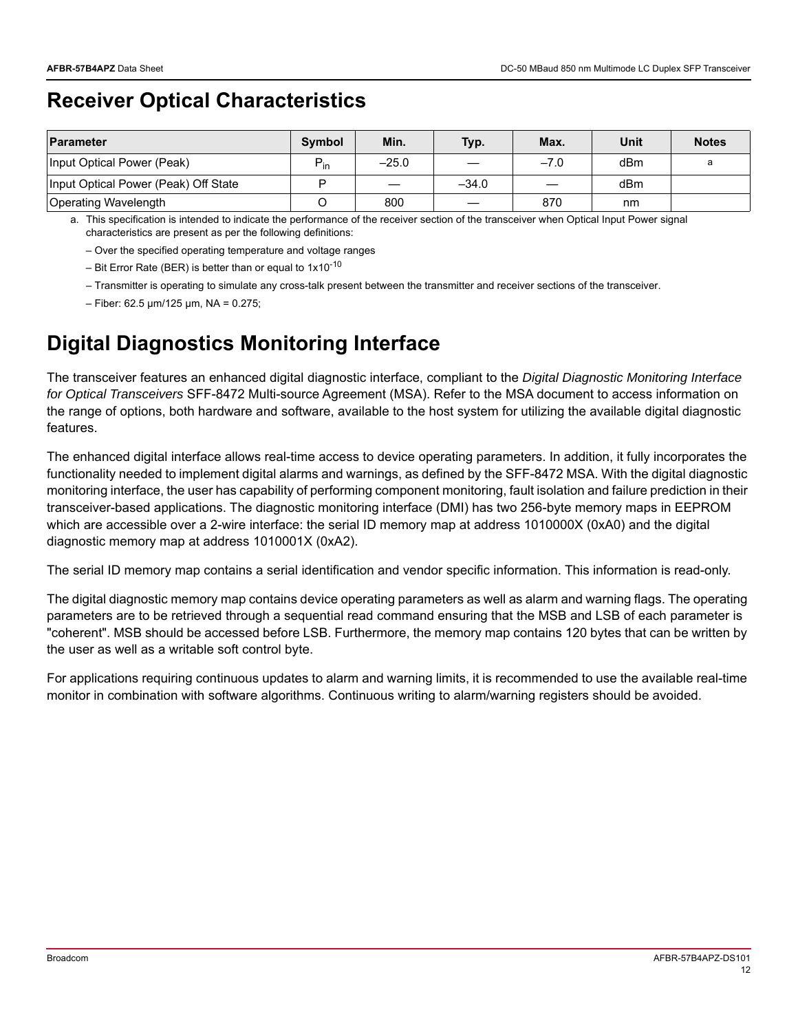## **Receiver Optical Characteristics**

| Parameter                            | <b>Symbol</b>   | Min.    | Typ.    | Max.   | Unit | <b>Notes</b> |
|--------------------------------------|-----------------|---------|---------|--------|------|--------------|
| Input Optical Power (Peak)           | $P_{\text{in}}$ | $-25.0$ |         | $-7.0$ | dBm  | a            |
| Input Optical Power (Peak) Off State |                 |         | $-34.0$ |        | dBm  |              |
| Operating Wavelength                 |                 | 800     |         | 870    | nm   |              |

a. This specification is intended to indicate the performance of the receiver section of the transceiver when Optical Input Power signal characteristics are present as per the following definitions:

– Over the specified operating temperature and voltage ranges

– Bit Error Rate (BER) is better than or equal to  $1x10^{-10}$ 

– Transmitter is operating to simulate any cross-talk present between the transmitter and receiver sections of the transceiver.

 $-$  Fiber: 62.5  $\mu$ m/125  $\mu$ m, NA = 0.275;

## **Digital Diagnostics Monitoring Interface**

The transceiver features an enhanced digital diagnostic interface, compliant to the *Digital Diagnostic Monitoring Interface for Optical Transceivers* SFF-8472 Multi-source Agreement (MSA). Refer to the MSA document to access information on the range of options, both hardware and software, available to the host system for utilizing the available digital diagnostic features.

The enhanced digital interface allows real-time access to device operating parameters. In addition, it fully incorporates the functionality needed to implement digital alarms and warnings, as defined by the SFF-8472 MSA. With the digital diagnostic monitoring interface, the user has capability of performing component monitoring, fault isolation and failure prediction in their transceiver-based applications. The diagnostic monitoring interface (DMI) has two 256-byte memory maps in EEPROM which are accessible over a 2-wire interface: the serial ID memory map at address 1010000X (0xA0) and the digital diagnostic memory map at address 1010001X (0xA2).

The serial ID memory map contains a serial identification and vendor specific information. This information is read-only.

The digital diagnostic memory map contains device operating parameters as well as alarm and warning flags. The operating parameters are to be retrieved through a sequential read command ensuring that the MSB and LSB of each parameter is "coherent". MSB should be accessed before LSB. Furthermore, the memory map contains 120 bytes that can be written by the user as well as a writable soft control byte.

For applications requiring continuous updates to alarm and warning limits, it is recommended to use the available real-time monitor in combination with software algorithms. Continuous writing to alarm/warning registers should be avoided.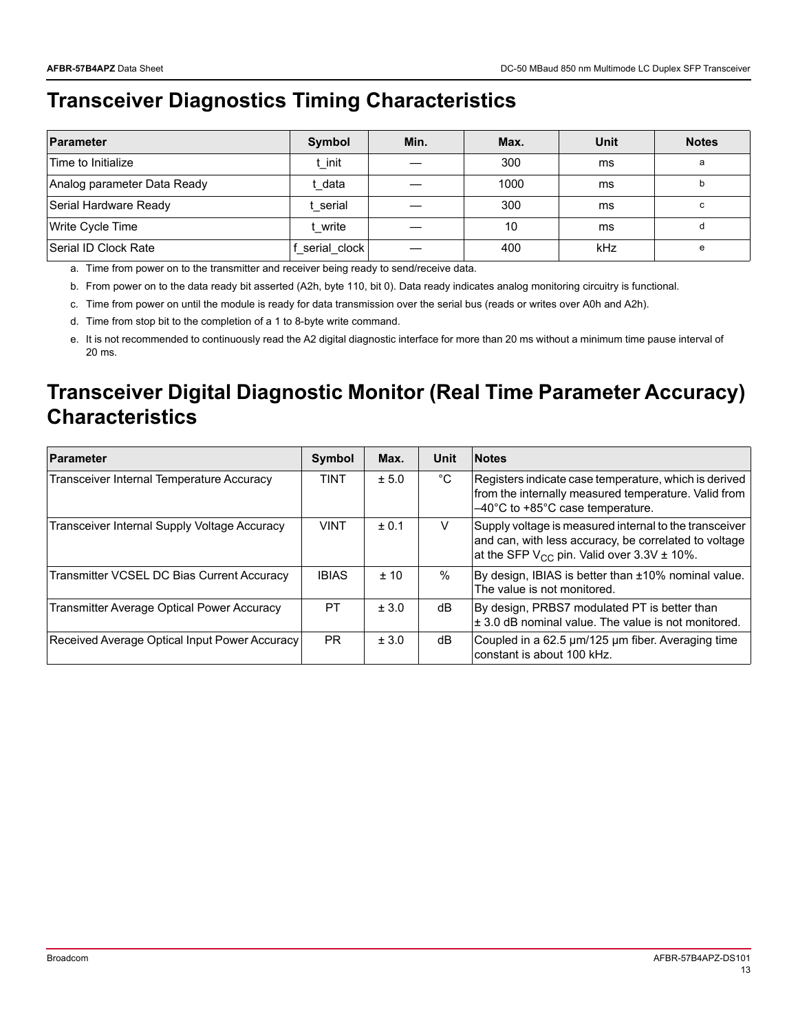# **Transceiver Diagnostics Timing Characteristics**

| Parameter                   | Symbol       | Min. | Max. | <b>Unit</b> | <b>Notes</b> |
|-----------------------------|--------------|------|------|-------------|--------------|
| Time to Initialize          | t init       |      | 300  | ms          | a            |
| Analog parameter Data Ready | data         |      | 1000 | ms          | b            |
| Serial Hardware Ready       | serial       |      | 300  | ms          | c            |
| Write Cycle Time            | write        |      | 10   | ms          |              |
| Serial ID Clock Rate        | serial clock |      | 400  | kHz         | e            |

a. Time from power on to the transmitter and receiver being ready to send/receive data.

b. From power on to the data ready bit asserted (A2h, byte 110, bit 0). Data ready indicates analog monitoring circuitry is functional.

c. Time from power on until the module is ready for data transmission over the serial bus (reads or writes over A0h and A2h).

d. Time from stop bit to the completion of a 1 to 8-byte write command.

e. It is not recommended to continuously read the A2 digital diagnostic interface for more than 20 ms without a minimum time pause interval of 20 ms.

### **Transceiver Digital Diagnostic Monitor (Real Time Parameter Accuracy) Characteristics**

| Parameter                                         | <b>Symbol</b> | Max.  | Unit | <b>Notes</b>                                                                                                                                                                    |
|---------------------------------------------------|---------------|-------|------|---------------------------------------------------------------------------------------------------------------------------------------------------------------------------------|
| Transceiver Internal Temperature Accuracy         | <b>TINT</b>   | ± 5.0 | °C   | Registers indicate case temperature, which is derived<br>from the internally measured temperature. Valid from<br>$-40^{\circ}$ C to +85 $^{\circ}$ C case temperature.          |
| Transceiver Internal Supply Voltage Accuracy      | <b>VINT</b>   | ± 0.1 | V    | Supply voltage is measured internal to the transceiver<br>and can, with less accuracy, be correlated to voltage<br>at the SFP V <sub>CC</sub> pin. Valid over $3.3V \pm 10\%$ . |
| Transmitter VCSEL DC Bias Current Accuracy        | <b>IBIAS</b>  | $+10$ | %    | By design, IBIAS is better than ±10% nominal value.<br>The value is not monitored.                                                                                              |
| <b>Transmitter Average Optical Power Accuracy</b> | PT            | ± 3.0 | dB   | By design, PRBS7 modulated PT is better than<br>± 3.0 dB nominal value. The value is not monitored.                                                                             |
| Received Average Optical Input Power Accuracy     | <b>PR</b>     | ± 3.0 | dB   | Coupled in a 62.5 µm/125 µm fiber. Averaging time<br>constant is about 100 kHz.                                                                                                 |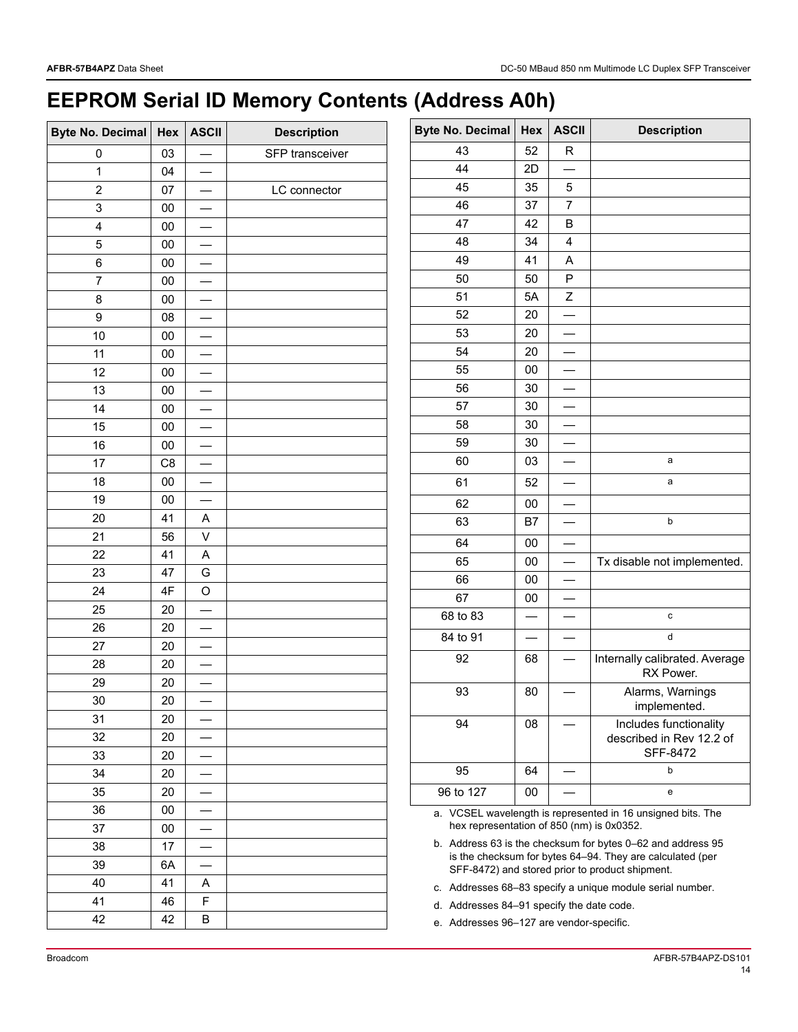# **EEPROM Serial ID Memory Contents (Address A0h)**

| <b>Byte No. Decimal</b> | Hex        | <b>ASCII</b> | <b>Description</b> |
|-------------------------|------------|--------------|--------------------|
| 0                       | 03         |              | SFP transceiver    |
| 1                       | 04         |              |                    |
| $\overline{2}$          | 07         |              | LC connector       |
| 3                       | $00\,$     |              |                    |
| 4                       | $00\,$     |              |                    |
| 5                       | $00\,$     |              |                    |
| 6                       | 00         |              |                    |
| $\overline{7}$          | $00\,$     |              |                    |
| 8                       | ${\bf 00}$ |              |                    |
| 9                       | 08         |              |                    |
| 10                      | $00\,$     |              |                    |
| 11                      | $00\,$     |              |                    |
| 12                      | 00         |              |                    |
| 13                      | $00\,$     |              |                    |
| 14                      | ${\bf 00}$ |              |                    |
| 15                      | $00\,$     |              |                    |
| 16                      | $00\,$     |              |                    |
| 17                      | C8         |              |                    |
| 18                      | 00         |              |                    |
| 19                      | $00\,$     |              |                    |
| 20                      | 41         | A            |                    |
| 21                      | 56         | V            |                    |
| 22                      | 41         | A            |                    |
| 23                      | 47         | G            |                    |
| 24                      | 4F         | O            |                    |
| 25                      | 20         |              |                    |
| 26                      | 20         |              |                    |
| 27                      | 20         |              |                    |
| 28                      | 20         |              |                    |
| 29                      | 20         |              |                    |
| 30                      | 20         |              |                    |
| 31                      | 20         |              |                    |
| 32                      | 20         |              |                    |
| 33                      | 20         |              |                    |
| 34                      | 20         |              |                    |
| 35                      | 20         |              |                    |
| 36                      | $00\,$     |              |                    |
| 37                      | 00         |              |                    |
| 38                      | 17         |              |                    |
| 39                      | 6A         |              |                    |
| 40                      | 41         | Α            |                    |
| 41                      | 46         | F            |                    |
| 42                      | 42         | В            |                    |

| <b>Byte No. Decimal</b> | Hex    | <b>ASCII</b> | <b>Description</b>                                                    |
|-------------------------|--------|--------------|-----------------------------------------------------------------------|
| 43                      | 52     | R            |                                                                       |
| 44                      | 2D     |              |                                                                       |
| 45                      | 35     | 5            |                                                                       |
| 46                      | 37     | 7            |                                                                       |
| 47                      | 42     | В            |                                                                       |
| 48                      | 34     | 4            |                                                                       |
| 49                      | 41     | A            |                                                                       |
| 50                      | 50     | P            |                                                                       |
| 51                      | 5A     | Ζ            |                                                                       |
| 52                      | 20     |              |                                                                       |
| 53                      | 20     |              |                                                                       |
| 54                      | 20     |              |                                                                       |
| 55                      | 00     |              |                                                                       |
| 56                      | 30     |              |                                                                       |
| 57                      | 30     |              |                                                                       |
| 58                      | 30     |              |                                                                       |
| 59                      | 30     |              |                                                                       |
| 60                      | 03     |              | a                                                                     |
| 61                      | 52     |              | a                                                                     |
| 62                      | $00\,$ |              |                                                                       |
| 63                      | B7     |              | b                                                                     |
| 64                      | 00     |              |                                                                       |
| 65                      | 00     |              | Tx disable not implemented.                                           |
| 66                      | 00     |              |                                                                       |
| 67                      | 00     |              |                                                                       |
| 68 to 83                |        |              | C                                                                     |
| 84 to 91                |        |              | d                                                                     |
| 92                      | 68     |              | Internally calibrated. Average<br>RX Power.                           |
| 93                      | 80     |              | Alarms, Warnings<br>implemented.                                      |
| 94                      | 08     |              | Includes functionality<br>described in Rev 12.2 of<br><b>SFF-8472</b> |
| 95                      | 64     |              | b                                                                     |
| 96 to 127               | $00\,$ |              | е                                                                     |

<span id="page-13-0"></span>a. VCSEL wavelength is represented in 16 unsigned bits. The hex representation of 850 (nm) is 0x0352.

<span id="page-13-1"></span>b. Address 63 is the checksum for bytes 0–62 and address 95 is the checksum for bytes 64–94. They are calculated (per SFF-8472) and stored prior to product shipment.

c. Addresses 68–83 specify a unique module serial number.

- d. Addresses 84–91 specify the date code.
- e. Addresses 96–127 are vendor-specific.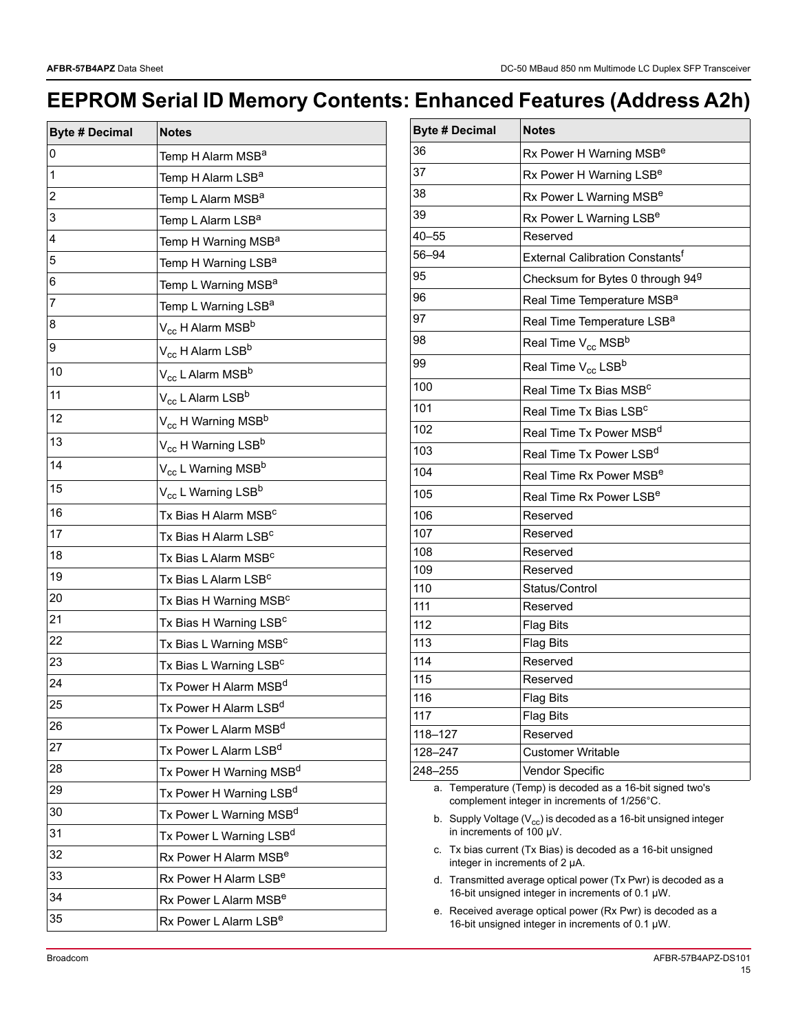# **EEPROM Serial ID Memory Contents: Enhanced Features (Address A2h)**

| <b>Byte # Decimal</b> | <b>Notes</b>                               |
|-----------------------|--------------------------------------------|
| 0                     | Temp H Alarm MSB <sup>a</sup>              |
| 1                     | Temp H Alarm LSB <sup>a</sup>              |
| 2                     | Temp L Alarm MSB <sup>a</sup>              |
| 3                     | Temp L Alarm LSB <sup>a</sup>              |
| 4                     | Temp H Warning MSB <sup>a</sup>            |
| 5                     | Temp H Warning LSB <sup>a</sup>            |
| 6                     | Temp L Warning MSB <sup>a</sup>            |
| $\overline{7}$        | Temp L Warning LSB <sup>a</sup>            |
| 8                     | V <sub>cc</sub> H Alarm MSB <sup>b</sup>   |
| 9                     | V <sub>cc</sub> H Alarm LSB <sup>b</sup>   |
| 10                    | V <sub>cc</sub> L Alarm MSB <sup>b</sup>   |
| 11                    | V <sub>cc</sub> L Alarm LSB <sup>b</sup>   |
| 12                    | V <sub>cc</sub> H Warning MSB <sup>b</sup> |
| 13                    | V <sub>cc</sub> H Warning LSB <sup>b</sup> |
| 14                    | $V_{cc}$ L Warning MSB <sup>b</sup>        |
| 15                    | V <sub>cc</sub> L Warning LSB <sup>b</sup> |
| 16                    | Tx Bias H Alarm MSB <sup>c</sup>           |
| 17                    | Tx Bias H Alarm LSB <sup>c</sup>           |
| 18                    | Tx Bias L Alarm MSB <sup>c</sup>           |
| 19                    | Tx Bias L Alarm LSB <sup>c</sup>           |
| 20                    | Tx Bias H Warning MSB <sup>c</sup>         |
| 21                    | Tx Bias H Warning LSB <sup>c</sup>         |
| 22                    | Tx Bias L Warning MSB <sup>c</sup>         |
| 23                    | Tx Bias L Warning LSB <sup>c</sup>         |
| 24                    | Tx Power H Alarm MSB <sup>d</sup>          |
| 25                    | Tx Power H Alarm LSB <sup>d</sup>          |
| 26                    | Tx Power L Alarm MSB <sup>d</sup>          |
| 27                    | Tx Power L Alarm LSB <sup>d</sup>          |
| 28                    | Tx Power H Warning MSB <sup>d</sup>        |
| 29                    | Tx Power H Warning LSB <sup>d</sup>        |
| 30                    | Tx Power L Warning MSB <sup>d</sup>        |
| 31                    | Tx Power L Warning LSB <sup>d</sup>        |
| 32                    | Rx Power H Alarm MSB <sup>e</sup>          |
| 33                    | Rx Power H Alarm LSB <sup>e</sup>          |
| 34                    | Rx Power L Alarm MSB <sup>e</sup>          |
| 35                    | Rx Power L Alarm LSB <sup>e</sup>          |

| <b>Byte # Decimal</b> | <b>Notes</b>                                 |
|-----------------------|----------------------------------------------|
| 36                    | Rx Power H Warning MSB <sup>e</sup>          |
| 37                    | Rx Power H Warning LSB <sup>e</sup>          |
| 38                    | Rx Power L Warning MSB <sup>e</sup>          |
| 39                    | Rx Power L Warning LSB <sup>e</sup>          |
| $40 - 55$             | Reserved                                     |
| 56-94                 | External Calibration Constants <sup>f</sup>  |
| 95                    | Checksum for Bytes 0 through 94 <sup>9</sup> |
| 96                    | Real Time Temperature MSB <sup>a</sup>       |
| 97                    | Real Time Temperature LSB <sup>a</sup>       |
| 98                    | Real Time V <sub>cc</sub> MSB <sup>b</sup>   |
| 99                    | Real Time $\rm V_{cc}$ LSB <sup>b</sup>      |
| 100                   | Real Time Tx Bias MSB <sup>c</sup>           |
| 101                   | Real Time Tx Bias LSB <sup>c</sup>           |
| 102                   | Real Time Tx Power MSB <sup>d</sup>          |
| 103                   | Real Time Tx Power LSB <sup>d</sup>          |
| 104                   | Real Time Rx Power MSB <sup>e</sup>          |
| 105                   | Real Time Rx Power LSB <sup>e</sup>          |
| 106                   | Reserved                                     |
| 107                   | Reserved                                     |
| 108                   | Reserved                                     |
| 109                   | Reserved                                     |
| 110                   | Status/Control                               |
| 111                   | Reserved                                     |
| 112                   | <b>Flag Bits</b>                             |
| 113                   | Flag Bits                                    |
| 114                   | Reserved                                     |
| 115                   | Reserved                                     |
| 116                   | <b>Flag Bits</b>                             |
| 117                   | <b>Flag Bits</b>                             |
| 118-127               | Reserved                                     |
| 128-247               | <b>Customer Writable</b>                     |
| 248–255               | Vendor Specific                              |

<span id="page-14-0"></span>a. Temperature (Temp) is decoded as a 16-bit signed two's complement integer in increments of 1/256°C.

<span id="page-14-1"></span>b. Supply Voltage ( $V_{\rm cc}$ ) is decoded as a 16-bit unsigned integer in increments of 100 µV.

- <span id="page-14-2"></span>c. Tx bias current (Tx Bias) is decoded as a 16-bit unsigned integer in increments of 2 µA.
- <span id="page-14-3"></span>d. Transmitted average optical power (Tx Pwr) is decoded as a 16-bit unsigned integer in increments of 0.1 µW.
- <span id="page-14-4"></span>e. Received average optical power (Rx Pwr) is decoded as a 16-bit unsigned integer in increments of 0.1 µW.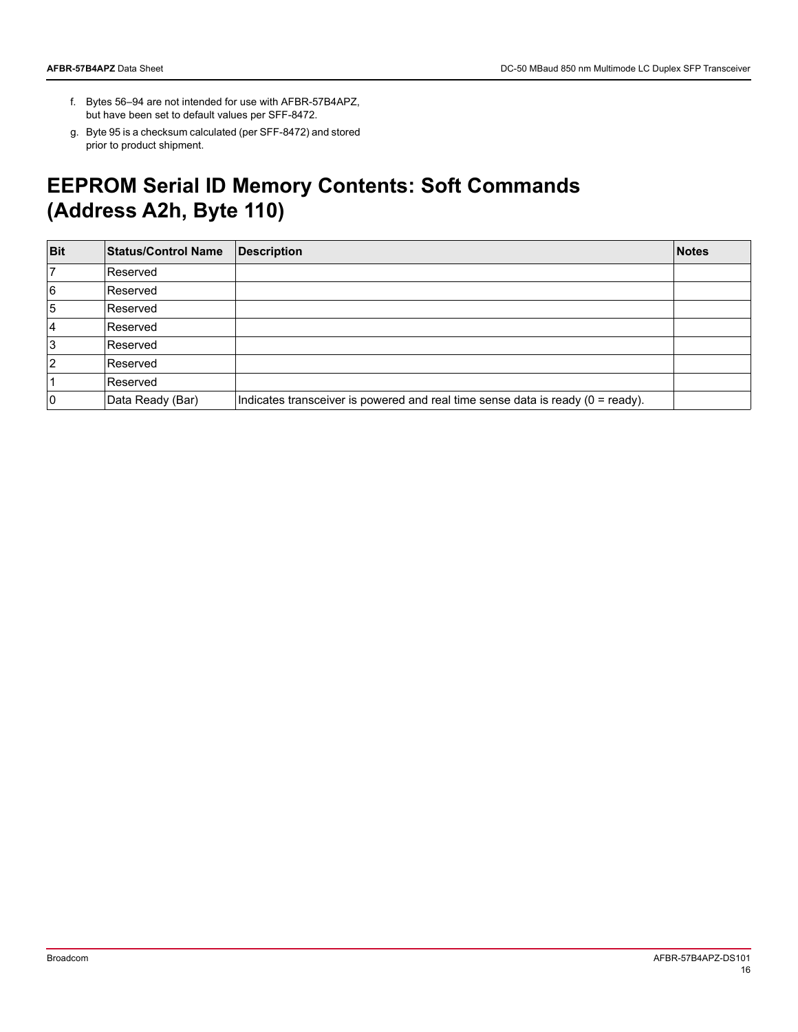- f. Bytes 56–94 are not intended for use with AFBR-57B4APZ, but have been set to default values per SFF-8472.
- g. Byte 95 is a checksum calculated (per SFF-8472) and stored prior to product shipment.

### **EEPROM Serial ID Memory Contents: Soft Commands (Address A2h, Byte 110)**

| <b>Bit</b> | <b>Status/Control Name</b> | <b>Description</b>                                                                 | <b>Notes</b> |
|------------|----------------------------|------------------------------------------------------------------------------------|--------------|
|            | Reserved                   |                                                                                    |              |
| 6          | Reserved                   |                                                                                    |              |
| 5          | Reserved                   |                                                                                    |              |
| 4          | Reserved                   |                                                                                    |              |
| 3          | Reserved                   |                                                                                    |              |
| 2          | Reserved                   |                                                                                    |              |
|            | Reserved                   |                                                                                    |              |
|            | Data Ready (Bar)           | Indicates transceiver is powered and real time sense data is ready $(0 = ready)$ . |              |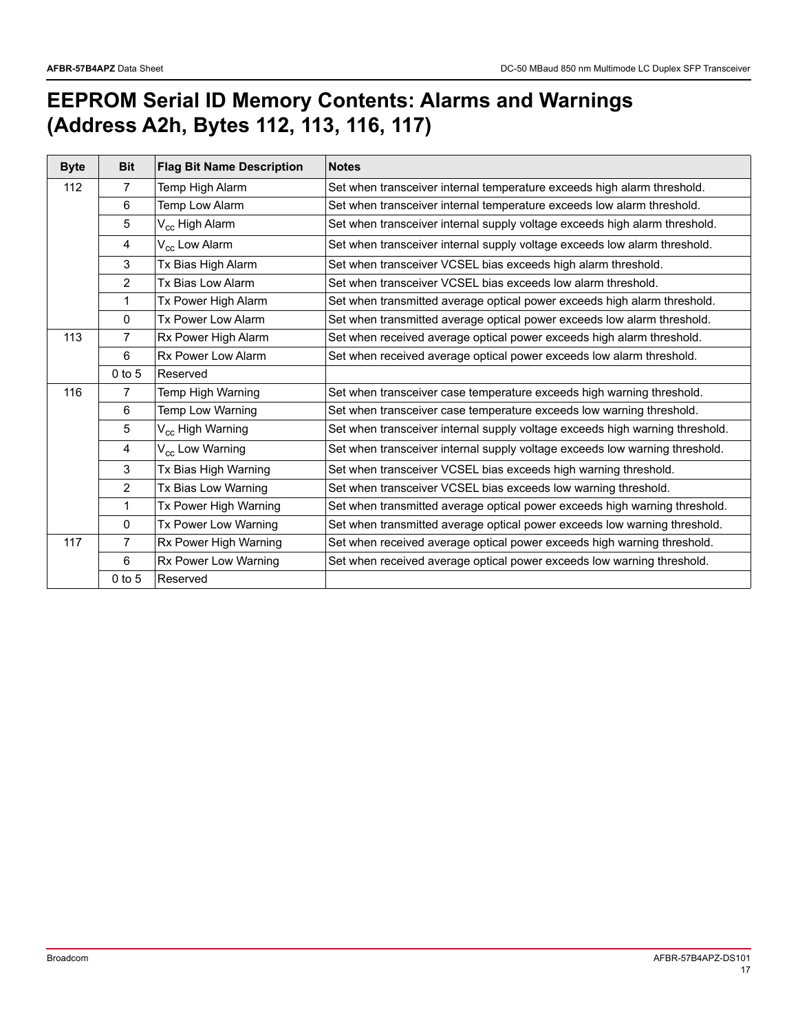# **EEPROM Serial ID Memory Contents: Alarms and Warnings (Address A2h, Bytes 112, 113, 116, 117)**

| <b>Byte</b> | <b>Bit</b>     | <b>Flag Bit Name Description</b> | <b>Notes</b>                                                                 |
|-------------|----------------|----------------------------------|------------------------------------------------------------------------------|
| 112         | 7              | Temp High Alarm                  | Set when transceiver internal temperature exceeds high alarm threshold.      |
|             | 6              | Temp Low Alarm                   | Set when transceiver internal temperature exceeds low alarm threshold.       |
|             | 5              | V <sub>cc</sub> High Alarm       | Set when transceiver internal supply voltage exceeds high alarm threshold.   |
|             | 4              | V <sub>cc</sub> Low Alarm        | Set when transceiver internal supply voltage exceeds low alarm threshold.    |
|             | 3              | Tx Bias High Alarm               | Set when transceiver VCSEL bias exceeds high alarm threshold.                |
|             | 2              | Tx Bias Low Alarm                | Set when transceiver VCSEL bias exceeds low alarm threshold.                 |
|             | 1              | Tx Power High Alarm              | Set when transmitted average optical power exceeds high alarm threshold.     |
|             | $\mathbf{0}$   | Tx Power Low Alarm               | Set when transmitted average optical power exceeds low alarm threshold.      |
| 113         | 7              | Rx Power High Alarm              | Set when received average optical power exceeds high alarm threshold.        |
|             | 6              | Rx Power Low Alarm               | Set when received average optical power exceeds low alarm threshold.         |
|             | $0$ to 5       | Reserved                         |                                                                              |
| 116         | 7              | Temp High Warning                | Set when transceiver case temperature exceeds high warning threshold.        |
|             | 6              | Temp Low Warning                 | Set when transceiver case temperature exceeds low warning threshold.         |
|             | 5              | V <sub>cc</sub> High Warning     | Set when transceiver internal supply voltage exceeds high warning threshold. |
|             | 4              | V <sub>cc</sub> Low Warning      | Set when transceiver internal supply voltage exceeds low warning threshold.  |
|             | 3              | Tx Bias High Warning             | Set when transceiver VCSEL bias exceeds high warning threshold.              |
|             | $\overline{2}$ | Tx Bias Low Warning              | Set when transceiver VCSEL bias exceeds low warning threshold.               |
|             | 1              | Tx Power High Warning            | Set when transmitted average optical power exceeds high warning threshold.   |
|             | 0              | Tx Power Low Warning             | Set when transmitted average optical power exceeds low warning threshold.    |
| 117         | 7              | Rx Power High Warning            | Set when received average optical power exceeds high warning threshold.      |
|             | 6              | Rx Power Low Warning             | Set when received average optical power exceeds low warning threshold.       |
|             | $0$ to 5       | Reserved                         |                                                                              |